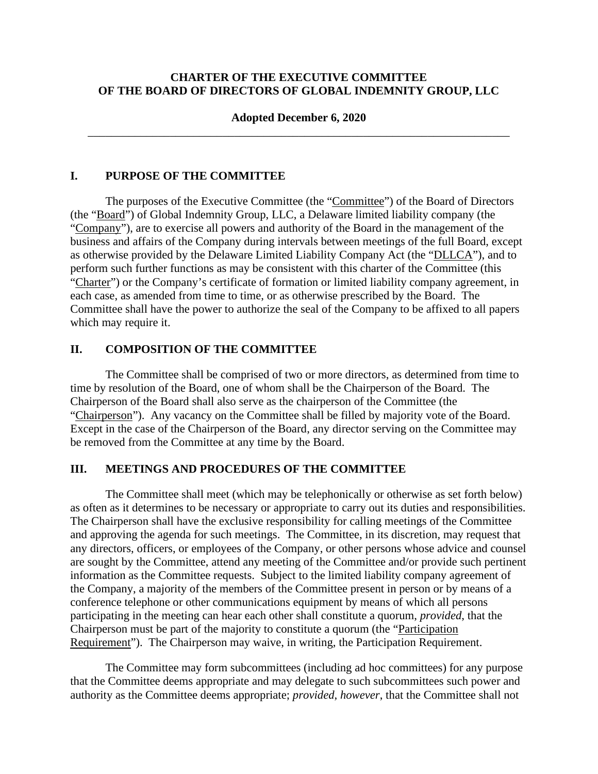## **CHARTER OF THE EXECUTIVE COMMITTEE OF THE BOARD OF DIRECTORS OF GLOBAL INDEMNITY GROUP, LLC**

### **Adopted December 6, 2020**  \_\_\_\_\_\_\_\_\_\_\_\_\_\_\_\_\_\_\_\_\_\_\_\_\_\_\_\_\_\_\_\_\_\_\_\_\_\_\_\_\_\_\_\_\_\_\_\_\_\_\_\_\_\_\_\_\_\_\_\_\_\_\_\_\_\_\_\_\_\_\_\_

### **I. PURPOSE OF THE COMMITTEE**

The purposes of the Executive Committee (the "Committee") of the Board of Directors (the "Board") of Global Indemnity Group, LLC, a Delaware limited liability company (the "Company"), are to exercise all powers and authority of the Board in the management of the business and affairs of the Company during intervals between meetings of the full Board, except as otherwise provided by the Delaware Limited Liability Company Act (the "DLLCA"), and to perform such further functions as may be consistent with this charter of the Committee (this "Charter") or the Company's certificate of formation or limited liability company agreement, in each case, as amended from time to time, or as otherwise prescribed by the Board. The Committee shall have the power to authorize the seal of the Company to be affixed to all papers which may require it.

# **II. COMPOSITION OF THE COMMITTEE**

The Committee shall be comprised of two or more directors, as determined from time to time by resolution of the Board, one of whom shall be the Chairperson of the Board. The Chairperson of the Board shall also serve as the chairperson of the Committee (the "Chairperson"). Any vacancy on the Committee shall be filled by majority vote of the Board. Except in the case of the Chairperson of the Board, any director serving on the Committee may be removed from the Committee at any time by the Board.

### **III. MEETINGS AND PROCEDURES OF THE COMMITTEE**

The Committee shall meet (which may be telephonically or otherwise as set forth below) as often as it determines to be necessary or appropriate to carry out its duties and responsibilities. The Chairperson shall have the exclusive responsibility for calling meetings of the Committee and approving the agenda for such meetings. The Committee, in its discretion, may request that any directors, officers, or employees of the Company, or other persons whose advice and counsel are sought by the Committee, attend any meeting of the Committee and/or provide such pertinent information as the Committee requests. Subject to the limited liability company agreement of the Company, a majority of the members of the Committee present in person or by means of a conference telephone or other communications equipment by means of which all persons participating in the meeting can hear each other shall constitute a quorum, *provided*, that the Chairperson must be part of the majority to constitute a quorum (the "Participation Requirement"). The Chairperson may waive, in writing, the Participation Requirement.

The Committee may form subcommittees (including ad hoc committees) for any purpose that the Committee deems appropriate and may delegate to such subcommittees such power and authority as the Committee deems appropriate; *provided*, *however*, that the Committee shall not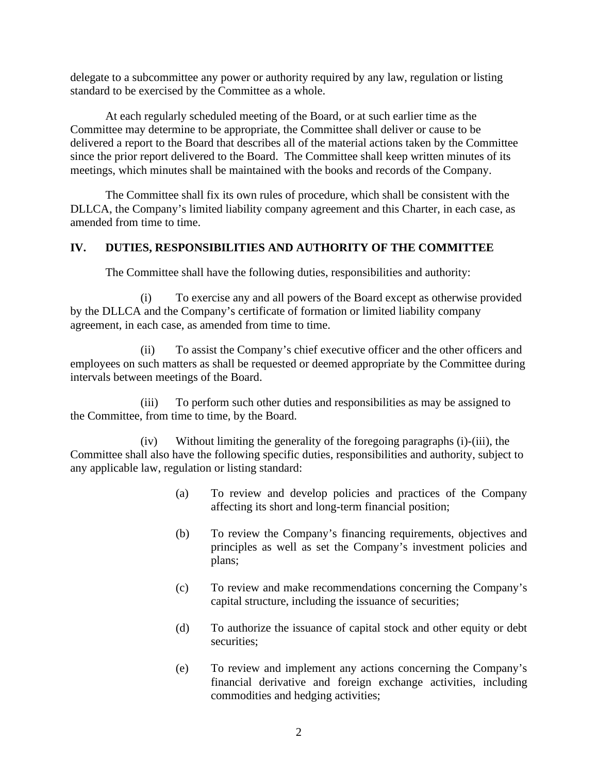delegate to a subcommittee any power or authority required by any law, regulation or listing standard to be exercised by the Committee as a whole.

At each regularly scheduled meeting of the Board, or at such earlier time as the Committee may determine to be appropriate, the Committee shall deliver or cause to be delivered a report to the Board that describes all of the material actions taken by the Committee since the prior report delivered to the Board. The Committee shall keep written minutes of its meetings, which minutes shall be maintained with the books and records of the Company.

The Committee shall fix its own rules of procedure, which shall be consistent with the DLLCA, the Company's limited liability company agreement and this Charter, in each case, as amended from time to time.

# **IV. DUTIES, RESPONSIBILITIES AND AUTHORITY OF THE COMMITTEE**

The Committee shall have the following duties, responsibilities and authority:

(i) To exercise any and all powers of the Board except as otherwise provided by the DLLCA and the Company's certificate of formation or limited liability company agreement, in each case, as amended from time to time.

(ii) To assist the Company's chief executive officer and the other officers and employees on such matters as shall be requested or deemed appropriate by the Committee during intervals between meetings of the Board.

(iii) To perform such other duties and responsibilities as may be assigned to the Committee, from time to time, by the Board.

(iv) Without limiting the generality of the foregoing paragraphs (i)-(iii), the Committee shall also have the following specific duties, responsibilities and authority, subject to any applicable law, regulation or listing standard:

- (a) To review and develop policies and practices of the Company affecting its short and long-term financial position;
- (b) To review the Company's financing requirements, objectives and principles as well as set the Company's investment policies and plans;
- (c) To review and make recommendations concerning the Company's capital structure, including the issuance of securities;
- (d) To authorize the issuance of capital stock and other equity or debt securities;
- (e) To review and implement any actions concerning the Company's financial derivative and foreign exchange activities, including commodities and hedging activities;